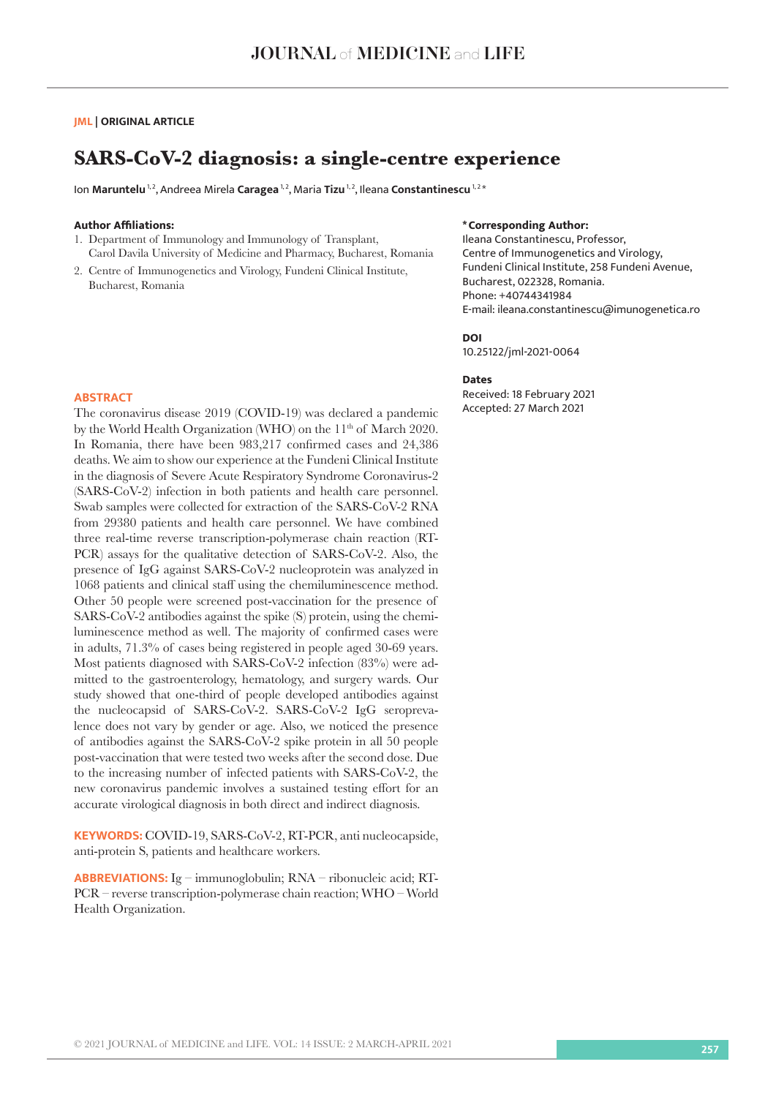## **JML | ORIGINAL ARTICLE**

# **SARS-CoV-2 diagnosis: a single-centre experience**

Ion Maruntelu<sup>1,2</sup>, Andreea Mirela Caragea<sup>1,2</sup>, Maria Tizu<sup>1,2</sup>, Ileana Constantinescu<sup>1,2\*</sup>

### **Author Affiliations:**

- 1. Department of Immunology and Immunology of Transplant, Carol Davila University of Medicine and Pharmacy, Bucharest, Romania
- 2. Centre of Immunogenetics and Virology, Fundeni Clinical Institute, Bucharest, Romania

## **\*Corresponding Author:**

Ileana Constantinescu, Professor, Centre of Immunogenetics and Virology, Fundeni Clinical Institute, 258 Fundeni Avenue, Bucharest, 022328, Romania. Phone: +40744341984 E-mail: ileana.constantinescu@imunogenetica.ro

#### **DOI**

10.25122/jml-2021-0064

#### **Dates**

Received: 18 February 2021 Accepted: 27 March 2021

#### **ABSTRACT**

The coronavirus disease 2019 (COVID-19) was declared a pandemic by the World Health Organization (WHO) on the 11<sup>th</sup> of March 2020. In Romania, there have been 983,217 confirmed cases and 24,386 deaths. We aim to show our experience at the Fundeni Clinical Institute in the diagnosis of Severe Acute Respiratory Syndrome Coronavirus-2 (SARS-CoV-2) infection in both patients and health care personnel. Swab samples were collected for extraction of the SARS-CoV-2 RNA from 29380 patients and health care personnel. We have combined three real-time reverse transcription-polymerase chain reaction (RT-PCR) assays for the qualitative detection of SARS-CoV-2. Also, the presence of IgG against SARS-CoV-2 nucleoprotein was analyzed in 1068 patients and clinical staff using the chemiluminescence method. Other 50 people were screened post-vaccination for the presence of SARS-CoV-2 antibodies against the spike (S) protein, using the chemiluminescence method as well. The majority of confirmed cases were in adults, 71.3% of cases being registered in people aged 30-69 years. Most patients diagnosed with SARS-CoV-2 infection (83%) were admitted to the gastroenterology, hematology, and surgery wards. Our study showed that one-third of people developed antibodies against the nucleocapsid of SARS-CoV-2. SARS-CoV-2 IgG seroprevalence does not vary by gender or age. Also, we noticed the presence of antibodies against the SARS-CoV-2 spike protein in all 50 people post-vaccination that were tested two weeks after the second dose. Due to the increasing number of infected patients with SARS-CoV-2, the new coronavirus pandemic involves a sustained testing effort for an accurate virological diagnosis in both direct and indirect diagnosis.

**KEYWORDS:** COVID-19, SARS-CoV-2, RT-PCR, anti nucleocapside, anti-protein S, patients and healthcare workers.

**ABBREVIATIONS:** Ig – immunoglobulin; RNA – ribonucleic acid; RT-PCR – reverse transcription-polymerase chain reaction; WHO – World Health Organization.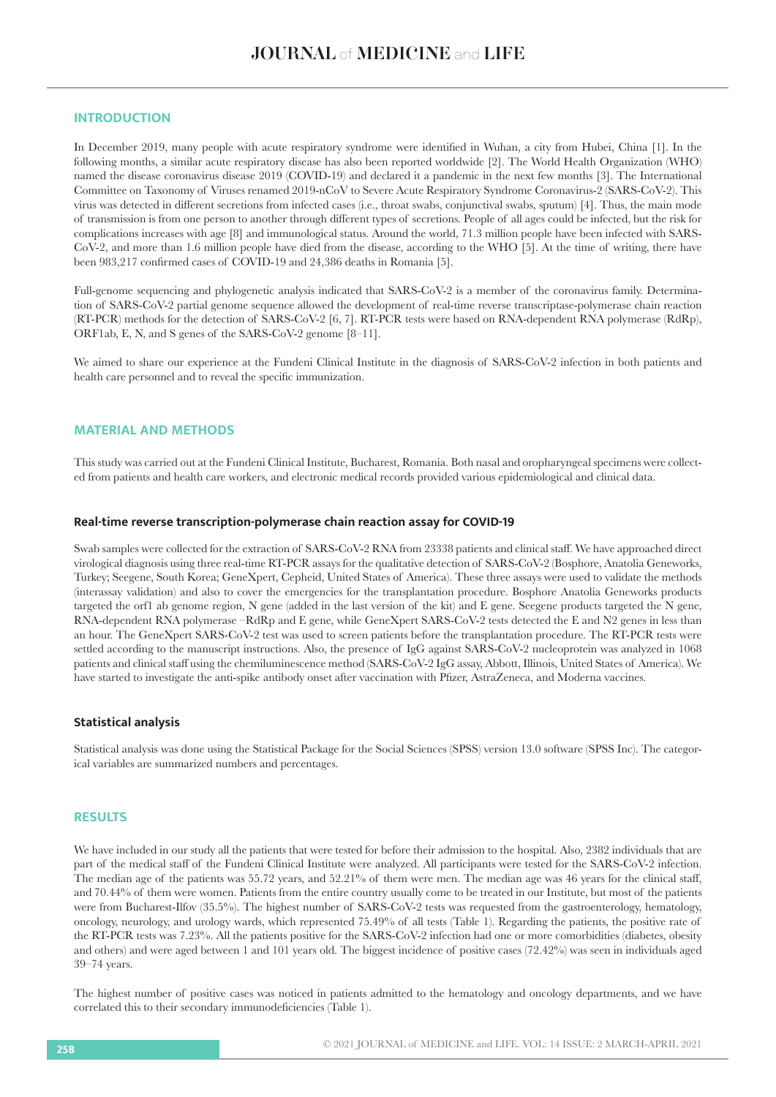# **INTRODUCTION**

In December 2019, many people with acute respiratory syndrome were identified in Wuhan, a city from Hubei, China [1]. In the following months, a similar acute respiratory disease has also been reported worldwide [2]. The World Health Organization (WHO) named the disease coronavirus disease 2019 (COVID-19) and declared it a pandemic in the next few months [3]. The International Committee on Taxonomy of Viruses renamed 2019-nCoV to Severe Acute Respiratory Syndrome Coronavirus-2 (SARS-CoV-2). This virus was detected in different secretions from infected cases (i.e., throat swabs, conjunctival swabs, sputum) [4]. Thus, the main mode of transmission is from one person to another through different types of secretions. People of all ages could be infected, but the risk for complications increases with age [8] and immunological status. Around the world, 71.3 million people have been infected with SARS-CoV-2, and more than 1.6 million people have died from the disease, according to the WHO [5]. At the time of writing, there have been 983,217 confirmed cases of COVID-19 and 24,386 deaths in Romania [5].

Full-genome sequencing and phylogenetic analysis indicated that SARS-CoV-2 is a member of the coronavirus family. Determination of SARS-CoV-2 partial genome sequence allowed the development of real-time reverse transcriptase-polymerase chain reaction (RT-PCR) methods for the detection of SARS-CoV-2 [6, 7]. RT-PCR tests were based on RNA-dependent RNA polymerase (RdRp), ORF1ab, E, N, and S genes of the SARS-CoV-2 genome [8–11].

We aimed to share our experience at the Fundeni Clinical Institute in the diagnosis of SARS-CoV-2 infection in both patients and health care personnel and to reveal the specific immunization.

# **MATERIAL AND METHODS**

This study was carried out at the Fundeni Clinical Institute, Bucharest, Romania. Both nasal and oropharyngeal specimens were collected from patients and health care workers, and electronic medical records provided various epidemiological and clinical data.

#### **Real-time reverse transcription-polymerase chain reaction assay for COVID-19**

Swab samples were collected for the extraction of SARS-CoV-2 RNA from 23338 patients and clinical staff. We have approached direct virological diagnosis using three real-time RT-PCR assays for the qualitative detection of SARS-CoV-2 (Bosphore, Anatolia Geneworks, Turkey; Seegene, South Korea; GeneXpert, Cepheid, United States of America). These three assays were used to validate the methods (interassay validation) and also to cover the emergencies for the transplantation procedure. Bosphore Anatolia Geneworks products targeted the orf1 ab genome region, N gene (added in the last version of the kit) and E gene. Seegene products targeted the N gene, RNA-dependent RNA polymerase –RdRp and E gene, while GeneXpert SARS-CoV-2 tests detected the E and N2 genes in less than an hour. The GeneXpert SARS-CoV-2 test was used to screen patients before the transplantation procedure. The RT-PCR tests were settled according to the manuscript instructions. Also, the presence of IgG against SARS-CoV-2 nucleoprotein was analyzed in 1068 patients and clinical staff using the chemiluminescence method (SARS-CoV-2 IgG assay, Abbott, Illinois, United States of America). We have started to investigate the anti-spike antibody onset after vaccination with Pfizer, AstraZeneca, and Moderna vaccines.

## **Statistical analysis**

Statistical analysis was done using the Statistical Package for the Social Sciences (SPSS) version 13.0 software (SPSS Inc). The categorical variables are summarized numbers and percentages.

## **RESULTS**

We have included in our study all the patients that were tested for before their admission to the hospital. Also, 2382 individuals that are part of the medical staff of the Fundeni Clinical Institute were analyzed. All participants were tested for the SARS-CoV-2 infection. The median age of the patients was 55.72 years, and 52.21% of them were men. The median age was 46 years for the clinical staff, and 70.44% of them were women. Patients from the entire country usually come to be treated in our Institute, but most of the patients were from Bucharest-Ilfov (35.5%). The highest number of SARS-CoV-2 tests was requested from the gastroenterology, hematology, oncology, neurology, and urology wards, which represented 75.49% of all tests (Table 1). Regarding the patients, the positive rate of the RT-PCR tests was 7.23%. All the patients positive for the SARS-CoV-2 infection had one or more comorbidities (diabetes, obesity and others) and were aged between 1 and 101 years old. The biggest incidence of positive cases (72.42%) was seen in individuals aged 39–74 years.

The highest number of positive cases was noticed in patients admitted to the hematology and oncology departments, and we have correlated this to their secondary immunodeficiencies (Table 1).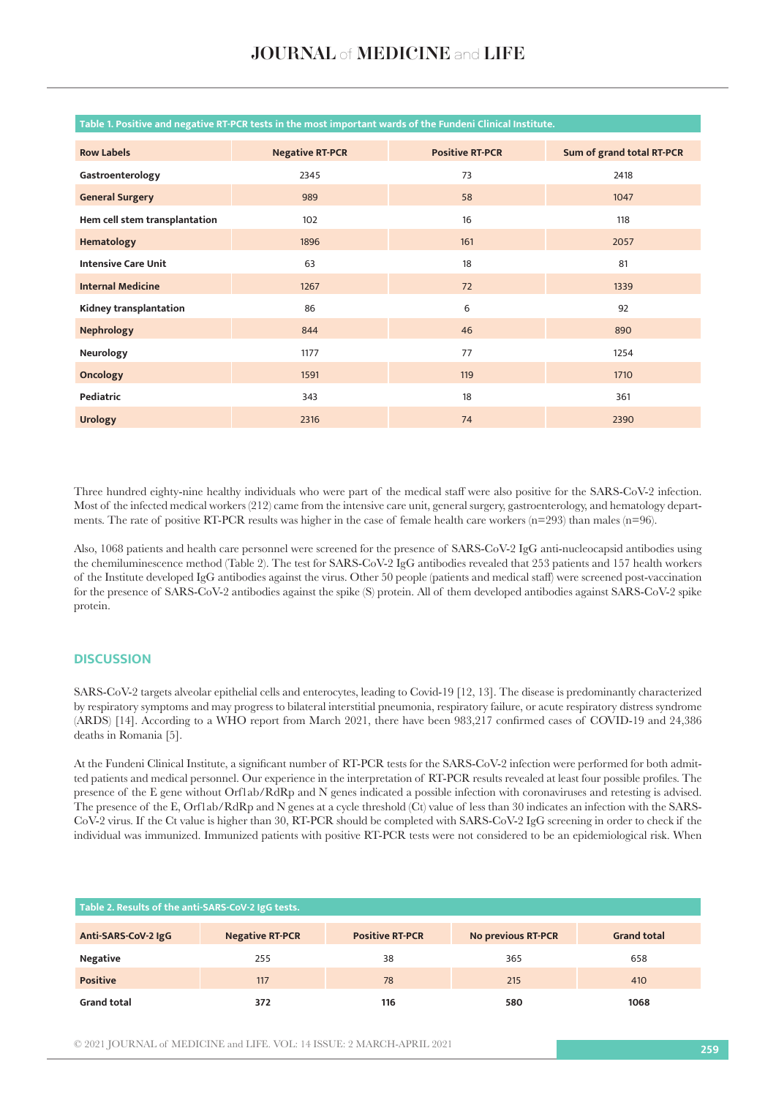| <b>Row Labels</b>             | <b>Negative RT-PCR</b> | <b>Positive RT-PCR</b> | Sum of grand total RT-PCR |
|-------------------------------|------------------------|------------------------|---------------------------|
| Gastroenterology              | 2345                   | 73                     | 2418                      |
| <b>General Surgery</b>        | 989                    | 58                     | 1047                      |
| Hem cell stem transplantation | 102                    | 16                     | 118                       |
| Hematology                    | 1896                   | 161                    | 2057                      |
| <b>Intensive Care Unit</b>    | 63                     | 18                     | 81                        |
| <b>Internal Medicine</b>      | 1267                   | 72                     | 1339                      |
| Kidney transplantation        | 86                     | 6                      | 92                        |
| <b>Nephrology</b>             | 844                    | 46                     | 890                       |
| Neurology                     | 1177                   | 77                     | 1254                      |
| <b>Oncology</b>               | 1591                   | 119                    | 1710                      |
| Pediatric                     | 343                    | 18                     | 361                       |
| <b>Urology</b>                | 2316                   | 74                     | 2390                      |

#### **Table 1. Positive and negative RT-PCR tests in the most important wards of the Fundeni Clinical Institute.**

Three hundred eighty-nine healthy individuals who were part of the medical staff were also positive for the SARS-CoV-2 infection. Most of the infected medical workers (212) came from the intensive care unit, general surgery, gastroenterology, and hematology departments. The rate of positive RT-PCR results was higher in the case of female health care workers (n=293) than males (n=96).

Also, 1068 patients and health care personnel were screened for the presence of SARS-CoV-2 IgG anti-nucleocapsid antibodies using the chemiluminescence method (Table 2). The test for SARS-CoV-2 IgG antibodies revealed that 253 patients and 157 health workers of the Institute developed IgG antibodies against the virus. Other 50 people (patients and medical staff) were screened post-vaccination for the presence of SARS-CoV-2 antibodies against the spike (S) protein. All of them developed antibodies against SARS-CoV-2 spike protein.

## **DISCUSSION**

SARS-CoV-2 targets alveolar epithelial cells and enterocytes, leading to Covid-19 [12, 13]. The disease is predominantly characterized by respiratory symptoms and may progress to bilateral interstitial pneumonia, respiratory failure, or acute respiratory distress syndrome (ARDS) [14]. According to a WHO report from March 2021, there have been 983,217 confirmed cases of COVID-19 and 24,386 deaths in Romania [5].

At the Fundeni Clinical Institute, a significant number of RT-PCR tests for the SARS-CoV-2 infection were performed for both admitted patients and medical personnel. Our experience in the interpretation of RT-PCR results revealed at least four possible profiles. The presence of the E gene without Orf1ab/RdRp and N genes indicated a possible infection with coronaviruses and retesting is advised. The presence of the E, Orf1ab/RdRp and N genes at a cycle threshold (Ct) value of less than 30 indicates an infection with the SARS-CoV-2 virus. If the Ct value is higher than 30, RT-PCR should be completed with SARS-CoV-2 IgG screening in order to check if the individual was immunized. Immunized patients with positive RT-PCR tests were not considered to be an epidemiological risk. When

| Table 2. Results of the anti-SARS-CoV-2 IgG tests. |                        |                        |                           |                    |  |  |
|----------------------------------------------------|------------------------|------------------------|---------------------------|--------------------|--|--|
| Anti-SARS-CoV-2 IgG                                | <b>Negative RT-PCR</b> | <b>Positive RT-PCR</b> | <b>No previous RT-PCR</b> | <b>Grand total</b> |  |  |
| <b>Negative</b>                                    | 255                    | 38                     | 365                       | 658                |  |  |
| <b>Positive</b>                                    | 117                    | 78                     | 215                       | 410                |  |  |
| <b>Grand total</b>                                 | 372                    | 116                    | 580                       | 1068               |  |  |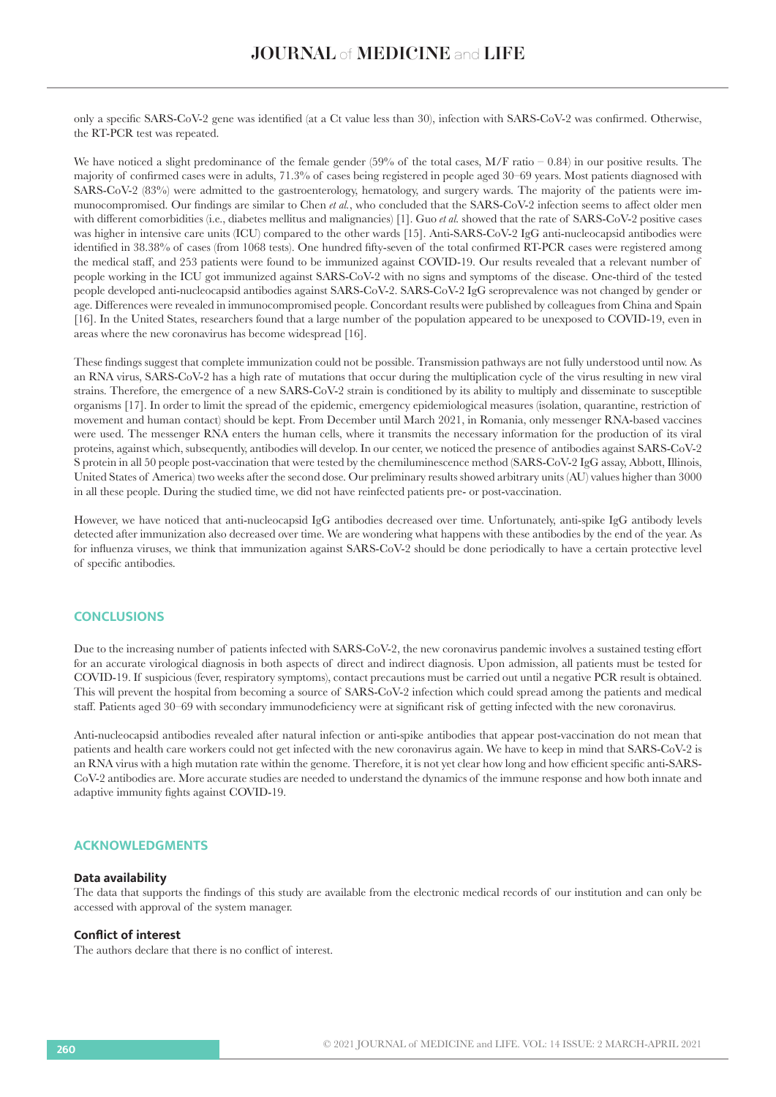only a specific SARS-CoV-2 gene was identified (at a Ct value less than 30), infection with SARS-CoV-2 was confirmed. Otherwise, the RT-PCR test was repeated.

We have noticed a slight predominance of the female gender (59% of the total cases,  $M/F$  ratio – 0.84) in our positive results. The majority of confirmed cases were in adults, 71.3% of cases being registered in people aged 30–69 years. Most patients diagnosed with SARS-CoV-2 (83%) were admitted to the gastroenterology, hematology, and surgery wards. The majority of the patients were immunocompromised. Our findings are similar to Chen *et al.*, who concluded that the SARS-CoV-2 infection seems to affect older men with different comorbidities (i.e., diabetes mellitus and malignancies) [1]. Guo *et al.* showed that the rate of SARS-CoV-2 positive cases was higher in intensive care units (ICU) compared to the other wards [15]. Anti-SARS-CoV-2 IgG anti-nucleocapsid antibodies were identified in 38.38% of cases (from 1068 tests). One hundred fifty-seven of the total confirmed RT-PCR cases were registered among the medical staff, and 253 patients were found to be immunized against COVID-19. Our results revealed that a relevant number of people working in the ICU got immunized against SARS-CoV-2 with no signs and symptoms of the disease. One-third of the tested people developed anti-nucleocapsid antibodies against SARS-CoV-2. SARS-CoV-2 IgG seroprevalence was not changed by gender or age. Differences were revealed in immunocompromised people. Concordant results were published by colleagues from China and Spain [16]. In the United States, researchers found that a large number of the population appeared to be unexposed to COVID-19, even in areas where the new coronavirus has become widespread [16].

These findings suggest that complete immunization could not be possible. Transmission pathways are not fully understood until now. As an RNA virus, SARS-CoV-2 has a high rate of mutations that occur during the multiplication cycle of the virus resulting in new viral strains. Therefore, the emergence of a new SARS-CoV-2 strain is conditioned by its ability to multiply and disseminate to susceptible organisms [17]. In order to limit the spread of the epidemic, emergency epidemiological measures (isolation, quarantine, restriction of movement and human contact) should be kept. From December until March 2021, in Romania, only messenger RNA-based vaccines were used. The messenger RNA enters the human cells, where it transmits the necessary information for the production of its viral proteins, against which, subsequently, antibodies will develop. In our center, we noticed the presence of antibodies against SARS-CoV-2 S protein in all 50 people post-vaccination that were tested by the chemiluminescence method (SARS-CoV-2 IgG assay, Abbott, Illinois, United States of America) two weeks after the second dose. Our preliminary results showed arbitrary units (AU) values higher than 3000 in all these people. During the studied time, we did not have reinfected patients pre- or post-vaccination.

However, we have noticed that anti-nucleocapsid IgG antibodies decreased over time. Unfortunately, anti-spike IgG antibody levels detected after immunization also decreased over time. We are wondering what happens with these antibodies by the end of the year. As for influenza viruses, we think that immunization against SARS-CoV-2 should be done periodically to have a certain protective level of specific antibodies.

## **CONCLUSIONS**

Due to the increasing number of patients infected with SARS-CoV-2, the new coronavirus pandemic involves a sustained testing effort for an accurate virological diagnosis in both aspects of direct and indirect diagnosis. Upon admission, all patients must be tested for COVID-19. If suspicious (fever, respiratory symptoms), contact precautions must be carried out until a negative PCR result is obtained. This will prevent the hospital from becoming a source of SARS-CoV-2 infection which could spread among the patients and medical staff. Patients aged 30–69 with secondary immunodeficiency were at significant risk of getting infected with the new coronavirus.

Anti-nucleocapsid antibodies revealed after natural infection or anti-spike antibodies that appear post-vaccination do not mean that patients and health care workers could not get infected with the new coronavirus again. We have to keep in mind that SARS-CoV-2 is an RNA virus with a high mutation rate within the genome. Therefore, it is not yet clear how long and how efficient specific anti-SARS-CoV-2 antibodies are. More accurate studies are needed to understand the dynamics of the immune response and how both innate and adaptive immunity fights against COVID-19.

## **ACKNOWLEDGMENTS**

#### **Data availability**

The data that supports the findings of this study are available from the electronic medical records of our institution and can only be accessed with approval of the system manager.

#### **Conflict of interest**

The authors declare that there is no conflict of interest.